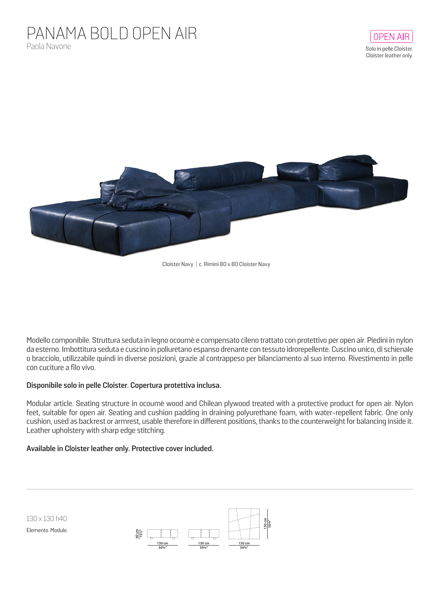## PANAMA BOLD OPEN AIR Paola Navone



Cloister Navy | c. Rimini 80 x 80 Cloister Navy

Modello componibile. Struttura seduta in legno ocoumè e compensato cileno trattato con protettivo per open air. Piedini in nylon da esterno. Imbottitura seduta e cuscino in poliuretano espanso drenante con tessuto idrorepellente. Cuscino unico, di schienale o bracciolo, utilizzabile quindi in diverse posizioni, grazie al contrappeso per bilanciamento al suo interno. Rivestimento in pelle con cuciture a filo vivo.

## **Disponibile solo in pelle Cloister. Copertura protettiva inclusa.**

Modular article. Seating structure in ocoumè wood and Chilean plywood treated with a protective product for open air. Nylon feet, suitable for open air. Seating and cushion padding in draining polyurethane foam, with water-repellent fabric. One only cushion, used as backrest or armrest, usable therefore in different positions, thanks to the counterweight for balancing inside it. Leather upholstery with sharp edge stitching.

## **Available in Cloister leather only. Protective cover included.**